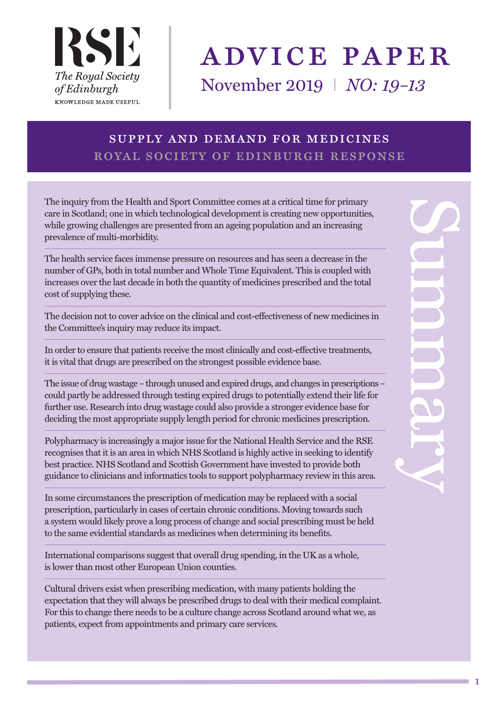

# advice paper

November 2019 I *NO: 19–13*

# supply and demand for medicines royal society of edinburgh response

The inquiry from the Health and Sport Committee comes at a critical time for primary care in Scotland; one in which technological development is creating new opportunities, while growing challenges are presented from an ageing population and an increasing prevalence of multi-morbidity.

The health service faces immense pressure on resources and has seen a decrease in the number of GPs, both in total number and Whole Time Equivalent. This is coupled with increases over the last decade in both the quantity of medicines prescribed and the total cost of supplying these.

The decision not to cover advice on the clinical and cost-effectiveness of new medicines in the Committee's inquiry may reduce its impact.

In order to ensure that patients receive the most clinically and cost-effective treatments, it is vital that drugs are prescribed on the strongest possible evidence base.

The issue of drug wastage – through unused and expired drugs, and changes in prescriptions – could partly be addressed through testing expired drugs to potentially extend their life for further use. Research into drug wastage could also provide a stronger evidence base for deciding the most appropriate supply length period for chronic medicines prescription.

Polypharmacy is increasingly a major issue for the National Health Service and the RSE recognises that it is an area in which NHS Scotland is highly active in seeking to identify best practice. NHS Scotland and Scottish Government have invested to provide both guidance to clinicians and informatics tools to support polypharmacy review in this area.

In some circumstances the prescription of medication may be replaced with a social prescription, particularly in cases of certain chronic conditions. Moving towards such a system would likely prove a long process of change and social prescribing must be held to the same evidential standards as medicines when determining its benefits.

International comparisons suggest that overall drug spending, in the UK as a whole, is lower than most other European Union counties.

Cultural drivers exist when prescribing medication, with many patients holding the expectation that they will always be prescribed drugs to deal with their medical complaint. For this to change there needs to be a culture change across Scotland around what we, as patients, expect from appointments and primary care services.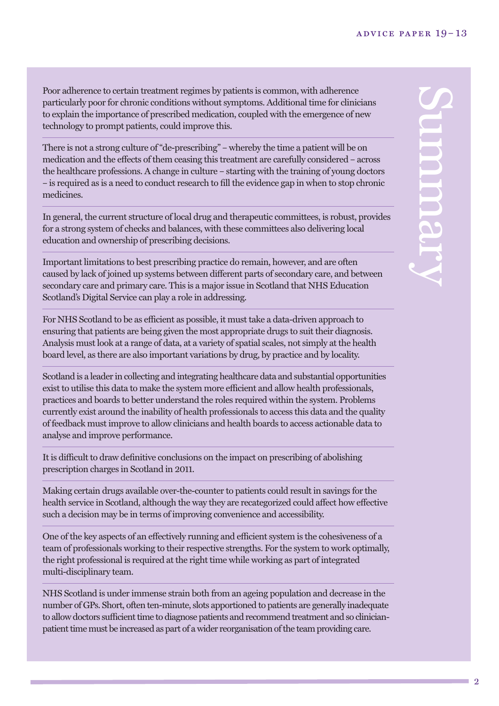Poor adherence to certain treatment regimes by patients is common, with adherence particularly poor for chronic conditions without symptoms. Additional time for clinicians to explain the importance of prescribed medication, coupled with the emergence of new technology to prompt patients, could improve this.

There is not a strong culture of "de-prescribing" – whereby the time a patient will be on medication and the effects of them ceasing this treatment are carefully considered – across the healthcare professions. A change in culture – starting with the training of young doctors – is required as is a need to conduct research to fill the evidence gap in when to stop chronic medicines.

In general, the current structure of local drug and therapeutic committees, is robust, provides for a strong system of checks and balances, with these committees also delivering local education and ownership of prescribing decisions.

Important limitations to best prescribing practice do remain, however, and are often caused by lack of joined up systems between different parts of secondary care, and between secondary care and primary care. This is a major issue in Scotland that NHS Education Scotland's Digital Service can play a role in addressing.

For NHS Scotland to be as efficient as possible, it must take a data-driven approach to ensuring that patients are being given the most appropriate drugs to suit their diagnosis. Analysis must look at a range of data, at a variety of spatial scales, not simply at the health board level, as there are also important variations by drug, by practice and by locality.

Scotland is a leader in collecting and integrating healthcare data and substantial opportunities exist to utilise this data to make the system more efficient and allow health professionals, practices and boards to better understand the roles required within the system. Problems currently exist around the inability of health professionals to access this data and the quality of feedback must improve to allow clinicians and health boards to access actionable data to analyse and improve performance.

It is difficult to draw definitive conclusions on the impact on prescribing of abolishing prescription charges in Scotland in 2011.

Making certain drugs available over-the-counter to patients could result in savings for the health service in Scotland, although the way they are recategorized could affect how effective such a decision may be in terms of improving convenience and accessibility.

One of the key aspects of an effectively running and efficient system is the cohesiveness of a team of professionals working to their respective strengths. For the system to work optimally, the right professional is required at the right time while working as part of integrated multi-disciplinary team.

NHS Scotland is under immense strain both from an ageing population and decrease in the number of GPs. Short, often ten-minute, slots apportioned to patients are generally inadequate to allow doctors sufficient time to diagnose patients and recommend treatment and so clinicianpatient time must be increased as part of a wider reorganisation of the team providing care.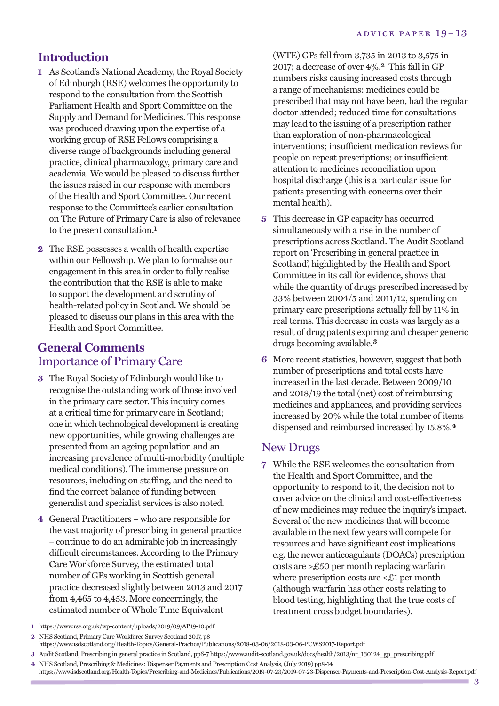#### **Introduction**

- **1** As Scotland's National Academy, the Royal Society of Edinburgh (RSE) welcomes the opportunity to respond to the consultation from the Scottish Parliament Health and Sport Committee on the Supply and Demand for Medicines. This response was produced drawing upon the expertise of a working group of RSE Fellows comprising a diverse range of backgrounds including general practice, clinical pharmacology, primary care and academia. We would be pleased to discuss further the issues raised in our response with members of the Health and Sport Committee. Our recent response to the Committee's earlier consultation on The Future of Primary Care is also of relevance to the present consultation. **1**
- **2** The RSE possesses a wealth of health expertise within our Fellowship. We plan to formalise our engagement in this area in order to fully realise the contribution that the RSE is able to make to support the development and scrutiny of health-related policy in Scotland. We should be pleased to discuss our plans in this area with the Health and Sport Committee.

#### **General Comments** Importance of Primary Care

- **3** The Royal Society of Edinburgh would like to recognise the outstanding work of those involved in the primary care sector. This inquiry comes at a critical time for primary care in Scotland; one in which technological developmentis creating new opportunities, while growing challenges are presented from an ageing population and an increasing prevalence of multi-morbidity (multiple medical conditions). The immense pressure on resources, including on staffing, and the need to find the correct balance of funding between generalist and specialist services is also noted.
- **4** General Practitioners who are responsible for the vast majority of prescribing in general practice – continue to do an admirable job in increasingly difficult circumstances. According to the Primary Care Workforce Survey, the estimated total number of GPs working in Scottish general practice decreased slightly between 2013 and 2017 from 4,465 to 4,453. More concerningly, the estimated number of Whole Time Equivalent

(WTE) GPs fell from 3,735 in 2013 to 3,575 in 2017; a decrease of over 4%. **2** This fall in GP numbers risks causing increased costs through a range of mechanisms: medicines could be prescribed that may not have been, had the regular doctor attended; reduced time for consultations may lead to the issuing of a prescription rather than exploration of non-pharmacological interventions; insufficient medication reviews for people on repeat prescriptions; or insufficient attention to medicines reconciliation upon hospital discharge (this is a particular issue for patients presenting with concerns over their mental health).

- **5** This decrease in GP capacity has occurred simultaneously with a rise in the number of prescriptions across Scotland. The Audit Scotland report on 'Prescribing in general practice in Scotland', highlighted by the Health and Sport Committee in its call for evidence, shows that while the quantity of drugs prescribed increased by 33% between 2004/5 and 2011/12, spending on primary care prescriptions actually fell by 11% in real terms. This decrease in costs was largely as a result of drug patents expiring and cheaper generic drugs becoming available.**3**
- **6** More recent statistics, however, suggest that both number of prescriptions and total costs have increased in the last decade. Between 2009/10 and 2018/19 the total (net) cost of reimbursing medicines and appliances, and providing services increased by 20% while the total number of items dispensed and reimbursed increased by 15.8%. **4**

#### New Drugs

- **7** While the RSE welcomes the consultation from the Health and Sport Committee, and the opportunity to respond to it, the decision not to cover advice on the clinical and cost-effectiveness of new medicines may reduce the inquiry's impact. Several of the new medicines that will become available in the next few years will compete for resources and have significant cost implications e.g.the newer anticoagulants (DOACs) prescription costs are >£50 per month replacing warfarin where prescription costs are <£1 per month (although warfarin has other costs relating to blood testing, highlighting that the true costs of treatment cross budget boundaries).
- **1** https://www.rse.org.uk/wp-content/uploads/2019/09/AP19-10.pdf
- **2** NHS Scotland, Primary Care Workforce Survey Scotland 2017, p8 https://www.isdscotland.org/Health-Topics/General-Practice/Publications/2018-03-06/2018-03-06-PCWS2017-Report.pdf

**3** Audit Scotland, Prescribing in general practice in Scotland, pp6-7 https://www.audit-scotland.gov.uk/docs/health/2013/nr\_130124\_gp\_prescribing.pdf

**<sup>4</sup>** NHS Scotland, Prescribing & Medicines: Dispenser Payments and Prescription Cost Analysis,(July 2019) pp8-14 https://www.isdscotland.org/Health-Topics/Prescribing-and-Medicines/Publications/2019-07-23/2019-07-23-Dispenser-Payments-and-Prescription-Cost-Analysis-Report.pdf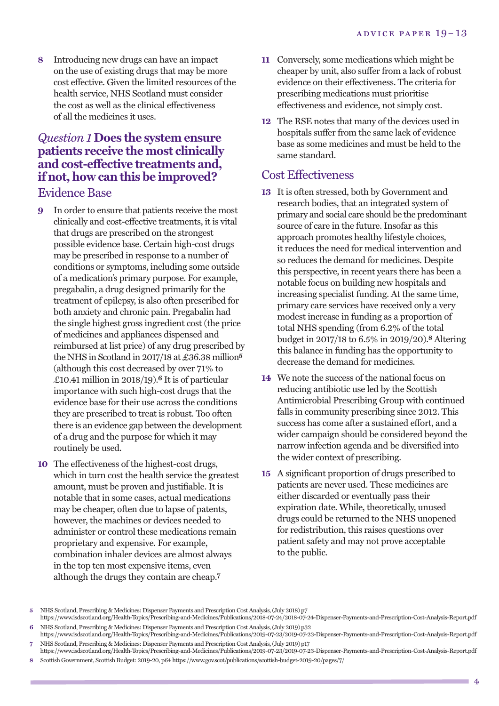**8** Introducing new drugs can have an impact on the use of existing drugs that may be more cost effective. Given the limited resources of the health service, NHS Scotland must consider the cost as well as the clinical effectiveness of all the medicines it uses.

#### *Question 1* **Does the system ensure patients receive the most clinically and cost-effective treatments and, if not, how can this be improved?** Evidence Base

- **9** In order to ensure that patients receive the most clinically and cost-effective treatments, it is vital that drugs are prescribed on the strongest possible evidence base. Certain high-cost drugs may be prescribed in response to a number of conditions or symptoms, including some outside of a medication's primary purpose. For example, pregabalin, a drug designed primarily for the treatment of epilepsy, is also often prescribed for both anxiety and chronic pain. Pregabalin had the single highest gross ingredient cost (the price of medicines and appliances dispensed and reimbursed at list price) of any drug prescribed by the NHS in Scotland in 2017/18 at £36.38 million**5** (although this cost decreased by over 71% to £10.41 million in 2018/19). **6** It is of particular importance with such high-cost drugs that the evidence base for their use across the conditions they are prescribed to treat is robust. Too often there is an evidence gap between the development of a drug and the purpose for which it may routinely be used.
- **10** The effectiveness of the highest-cost drugs, which in turn cost the health service the greatest amount, must be proven and justifiable. It is notable that in some cases, actual medications may be cheaper, often due to lapse of patents, however, the machines or devices needed to administer or control these medications remain proprietary and expensive. For example, combination inhaler devices are almost always in the top ten most expensive items, even although the drugs they contain are cheap. **7**
- **11** Conversely, some medications which might be cheaper by unit, also suffer from a lack of robust evidence on their effectiveness. The criteria for prescribing medications must prioritise effectiveness and evidence, not simply cost.
- **12** The RSE notes that many of the devices used in hospitals suffer from the same lack of evidence base as some medicines and must be held to the same standard.

#### Cost Effectiveness

- **13** It is often stressed, both by Government and research bodies, that an integrated system of primary and social care should be the predominant source of care in the future. Insofar as this approach promotes healthy lifestyle choices, it reduces the need for medical intervention and so reduces the demand for medicines. Despite this perspective, in recent years there has been a notable focus on building new hospitals and increasing specialist funding. At the same time, primary care services have received only a very modest increase in funding as a proportion of total NHS spending (from 6.2% of the total budget in 2017/18 to 6.5% in 2019/20). **8** Altering this balance in funding has the opportunity to decrease the demand for medicines.
- **14** We note the success of the national focus on reducing antibiotic use led by the Scottish Antimicrobial Prescribing Group with continued falls in community prescribing since 2012. This success has come after a sustained effort, and a wider campaign should be considered beyond the narrow infection agenda and be diversified into the wider context of prescribing.
- **15** A significant proportion of drugs prescribed to patients are never used. These medicines are either discarded or eventually pass their expiration date. While, theoretically, unused drugs could be returned to the NHS unopened for redistribution, this raises questions over patient safety and may not prove acceptable to the public.

**NHS Scotland, Prescribing & Medicines: Dispenser Payments and Prescription Cost Analysis, (July 2018) p7** 

https://www.isdscotland.org/Health-Topics/Prescribing-and-Medicines/Publications/2018-07-24/2018-07-24-Dispenser-Payments-and-Prescription-Cost-Analysis-Report.pdf 6 NHS Scotland, Prescribing & Medicines: Dispenser Payments and Prescription Cost Analysis, (July 2019) p32

https://www.isdscotland.org/Health-Topics/Prescribing-and-Medicines/Publications/2019-07-23/2019-07-23-Dispenser-Payments-and-Prescription-Cost-Analysis-Report.pdf **7** NHS Scotland, Prescribing & Medicines: Dispenser Payments and Prescription Cost Analysis, (July 2019) p17

https://www.isdscotland.org/Health-Topics/Prescribing-and-Medicines/Publications/2019-07-23/2019-07-23-Dispenser-Payments-and-Prescription-Cost-Analysis-Report.pdf **8** Scottish Government, ScottishBudget: 2019-20, p64 https://www.gov.scot/publications/scottish-budget-2019-20/pages/7/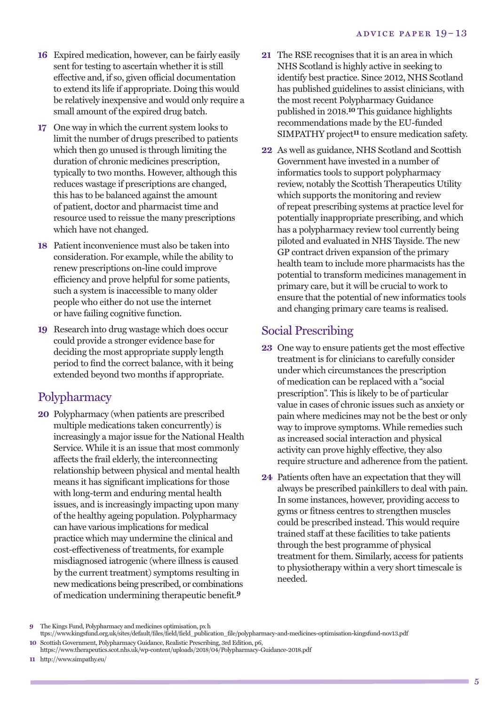- **16** Expired medication, however, can be fairly easily sent for testing to ascertain whether it is still effective and, if so, given official documentation to extend its life if appropriate. Doing this would be relatively inexpensive and would only require a small amount of the expired drug batch.
- **17** One way in which the current system looks to limit the number of drugs prescribed to patients which then go unused is through limiting the duration of chronic medicines prescription, typically to two months. However, although this reduces wastage if prescriptions are changed, this has to be balanced against the amount of patient, doctor and pharmacist time and resource used to reissue the many prescriptions which have not changed.
- **18** Patient inconvenience must also be taken into consideration. For example, while the ability to renew prescriptions on-line could improve efficiency and prove helpful for some patients, such a system is inaccessible to many older people who either do not use the internet or have failing cognitive function.
- **19** Research into drug wastage which does occur could provide a stronger evidence base for deciding the most appropriate supply length period to find the correct balance, with it being extended beyond two months if appropriate.

# **Polypharmacy**

**20** Polypharmacy (when patients are prescribed multiple medications taken concurrently) is increasingly a major issue for the National Health Service. While it is an issue that most commonly affects the frail elderly, the interconnecting relationship between physical and mental health means it has significant implications for those with long-term and enduring mental health issues, and is increasingly impacting upon many of the healthy ageing population. Polypharmacy can have various implications for medical practice which may undermine the clinical and cost-effectiveness of treatments, for example misdiagnosed iatrogenic (where illness is caused by the current treatment) symptoms resulting in new medications being prescribed, or combinations of medication undermining therapeutic benefit. **9**

- **21** The RSE recognises that it is an area in which NHS Scotland is highly active in seeking to identify best practice. Since 2012, NHS Scotland has published guidelines to assist clinicians, with the most recent Polypharmacy Guidance published in 2018. **10** This guidance highlights recommendations made by the EU-funded SIMPATHY project**11** to ensure medication safety.
- **22** As well as guidance, NHS Scotland and Scottish Government have invested in a number of informatics tools to support polypharmacy review, notably the Scottish Therapeutics Utility which supports the monitoring and review of repeat prescribing systems at practice level for potentially inappropriate prescribing, and which has a polypharmacy review tool currently being piloted and evaluated in NHS Tayside. The new GP contract driven expansion of the primary health team to include more pharmacists has the potential to transform medicines management in primary care, but it will be crucial to work to ensure that the potential of new informatics tools and changing primary care teams is realised.

# Social Prescribing

- **23** One way to ensure patients get the most effective treatment is for clinicians to carefully consider under which circumstances the prescription of medication can be replaced with a "social prescription". This is likely to be of particular value in cases of chronic issues such as anxiety or pain where medicines may not be the best or only way to improve symptoms. While remedies such as increased social interaction and physical activity can prove highly effective, they also require structure and adherence from the patient.
- **24** Patients often have an expectation that they will always be prescribed painkillers to deal with pain. In some instances, however, providing access to gyms or fitness centres to strengthen muscles could be prescribed instead. This would require trained staff at these facilities to take patients through the best programme of physical treatment for them. Similarly, access for patients to physiotherapy within a very short timescale is needed.

**<sup>9</sup>** The Kings Fund, Polypharmacy and medicines optimisation, px h

ttps://www.kingsfund.org.uk/sites/default/files/field/field\_publication\_file/polypharmacy-and-medicines-optimisation-kingsfund-nov13.pdf **10** Scottish Government, Polypharmacy Guidance, Realistic Prescribing, 3rd Edition, p6,

https://www.therapeutics.scot.nhs.uk/wp-content/uploads/2018/04/Polypharmacy-Guidance-2018.pdf

**<sup>11</sup>** http://www.simpathy.eu/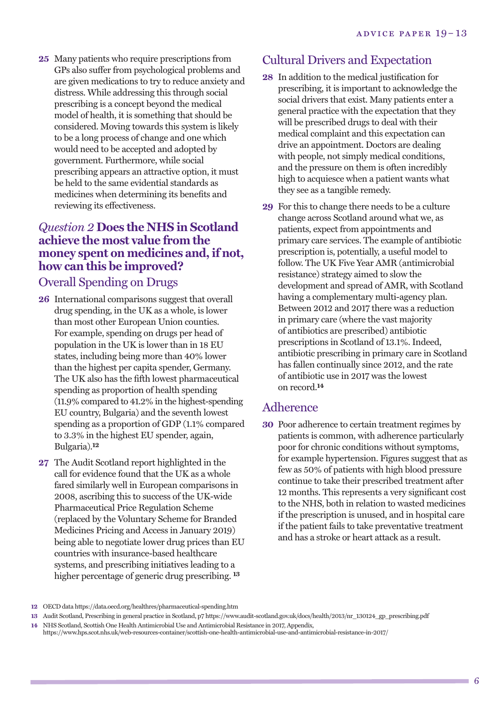**25** Many patients who require prescriptions from GPs also suffer from psychological problems and are given medications to try to reduce anxiety and distress. While addressing this through social prescribing is a concept beyond the medical model of health, it is something that should be considered. Moving towards this system is likely to be a long process of change and one which would need to be accepted and adopted by government. Furthermore, while social prescribing appears an attractive option, it must be held to the same evidential standards as medicines when determining its benefits and reviewing its effectiveness.

#### *Question 2* **Does the NHS in Scotland achieve the most value from the money spent on medicines and, if not, how can this be improved?**

#### Overall Spending on Drugs

- **26** International comparisons suggest that overall drug spending, in the UK as a whole, is lower than most other European Union counties. For example, spending on drugs per head of population in the UK is lower than in 18 EU states, including being more than 40% lower than the highest per capita spender, Germany. The UK also has the fifth lowest pharmaceutical spending as proportion of health spending (11.9% compared to 41.2% in the highest-spending EU country, Bulgaria) and the seventh lowest spending as a proportion of GDP (1.1% compared to 3.3% in the highest EU spender, again, Bulgaria). **12**
- **27** The Audit Scotland report highlighted in the call for evidence found that the UK as a whole fared similarly well in European comparisons in 2008, ascribing this to success of the UK-wide Pharmaceutical Price Regulation Scheme (replaced by the Voluntary Scheme for Branded Medicines Pricing and Access in January 2019) being able to negotiate lower drug prices than EU countries with insurance-based healthcare systems, and prescribing initiatives leading to a higher percentage of generic drug prescribing. **13**

#### Cultural Drivers and Expectation

- **28** In addition to the medical justification for prescribing, it is important to acknowledge the social drivers that exist. Many patients enter a general practice with the expectation that they will be prescribed drugs to deal with their medical complaint and this expectation can drive an appointment. Doctors are dealing with people, not simply medical conditions, and the pressure on them is often incredibly high to acquiesce when a patient wants what they see as a tangible remedy.
- **29** For this to change there needs to be a culture change across Scotland around what we, as patients, expect from appointments and primary care services. The example of antibiotic prescription is, potentially, a useful model to follow. The UK Five Year AMR (antimicrobial resistance) strategy aimed to slow the development and spread of AMR, with Scotland having a complementary multi-agency plan. Between 2012 and 2017 there was a reduction in primary care (where the vast majority of antibiotics are prescribed) antibiotic prescriptions in Scotland of 13.1%. Indeed, antibiotic prescribing in primary care in Scotland has fallen continually since 2012, and the rate of antibiotic use in 2017 was the lowest on record. **14**

# Adherence

**30** Poor adherence to certain treatment regimes by patients is common, with adherence particularly poor for chronic conditions without symptoms, for example hypertension. Figures suggest that as few as 50% of patients with high blood pressure continue to take their prescribed treatment after 12 months. This represents a very significant cost to the NHS, both in relation to wasted medicines if the prescription is unused, and in hospital care if the patient fails to take preventative treatment and has a stroke or heart attack as a result.

**<sup>12</sup>** OECD data https://data.oecd.org/healthres/pharmaceutical-spending.htm

**<sup>13</sup>** Audit Scotland, Prescribing in general practice in Scotland, p7 https://www.audit-scotland.gov.uk/docs/health/2013/nr\_130124\_gp\_prescribing.pdf

**<sup>14</sup>** NHS Scotland, Scottish One Health Antimicrobial Use and Antimicrobial Resistance in 2017, Appendix,

https://www.hps.scot.nhs.uk/web-resources-container/scottish-one-health-antimicrobial-use-and-antimicrobial-resistance-in-2017/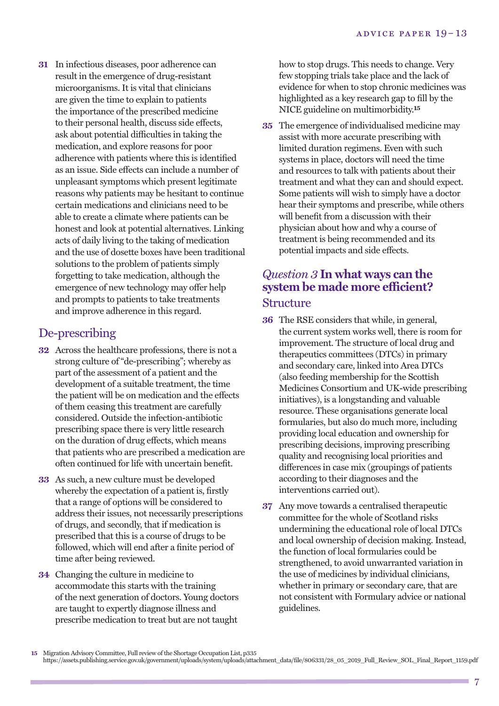**31** In infectious diseases, poor adherence can result in the emergence of drug-resistant microorganisms. It is vital that clinicians are given the time to explain to patients the importance of the prescribed medicine to their personal health, discuss side effects, ask about potential difficulties in taking the medication, and explore reasons for poor adherence with patients where this is identified as an issue. Side effects can include a number of unpleasant symptoms which present legitimate reasons why patients may be hesitant to continue certain medications and clinicians need to be able to create a climate where patients can be honest and look at potential alternatives. Linking acts of daily living to the taking of medication and the use of dosette boxes have been traditional solutions to the problem of patients simply forgetting to take medication, although the emergence of new technology may offer help and prompts to patients to take treatments and improve adherence in this regard.

#### De-prescribing

- **32** Across the healthcare professions, there is not a strong culture of "de-prescribing"; whereby as part of the assessment of a patient and the development of a suitable treatment, the time the patient will be on medication and the effects of them ceasing this treatment are carefully considered. Outside the infection-antibiotic prescribing space there is very little research on the duration of drug effects, which means that patients who are prescribed a medication are often continued for life with uncertain benefit.
- **33** As such, a new culture must be developed whereby the expectation of a patient is, firstly that a range of options will be considered to address their issues, not necessarily prescriptions of drugs, and secondly, that if medication is prescribed that this is a course of drugs to be followed, which will end after a finite period of time after being reviewed.
- **34** Changing the culture in medicine to accommodate this starts with the training of the next generation of doctors. Young doctors are taught to expertly diagnose illness and prescribe medication to treat but are not taught

how to stop drugs. This needs to change. Very few stopping trials take place and the lack of evidence for when to stop chronic medicines was highlighted as a key research gap to fill by the NICE guideline on multimorbidity. **15**

**35** The emergence of individualised medicine may assist with more accurate prescribing with limited duration regimens. Even with such systems in place, doctors will need the time and resources to talk with patients about their treatment and what they can and should expect. Some patients will wish to simply have a doctor hear their symptoms and prescribe, while others will benefit from a discussion with their physician about how and why a course of treatment is being recommended and its potential impacts and side effects.

#### *Question 3* **In what ways can the system be made more efficient?** Structure

- **36** The RSE considers that while, in general, the current system works well, there is room for improvement. The structure of local drug and therapeutics committees (DTCs) in primary and secondary care, linked into Area DTCs (also feeding membership for the Scottish Medicines Consortium and UK-wide prescribing initiatives), is a longstanding and valuable resource. These organisations generate local formularies, but also do much more, including providing local education and ownership for prescribing decisions, improving prescribing quality and recognising local priorities and differences in case mix (groupings of patients according to their diagnoses and the interventions carried out).
- **37** Any move towards a centralised therapeutic committee for the whole of Scotland risks undermining the educational role of local DTCs and local ownership of decision making. Instead, the function of local formularies could be strengthened, to avoid unwarranted variation in the use of medicines by individual clinicians, whether in primary or secondary care, that are not consistent with Formulary advice or national guidelines.

**<sup>15</sup>** Migration Advisory Committee, Full review of the Shortage Occupation List, p335

https://assets.publishing.service.gov.uk/government/uploads/system/uploads/attachment\_data/file/806331/28\_05\_2019\_Full\_Review\_SOL\_Final\_Report\_1159.pdf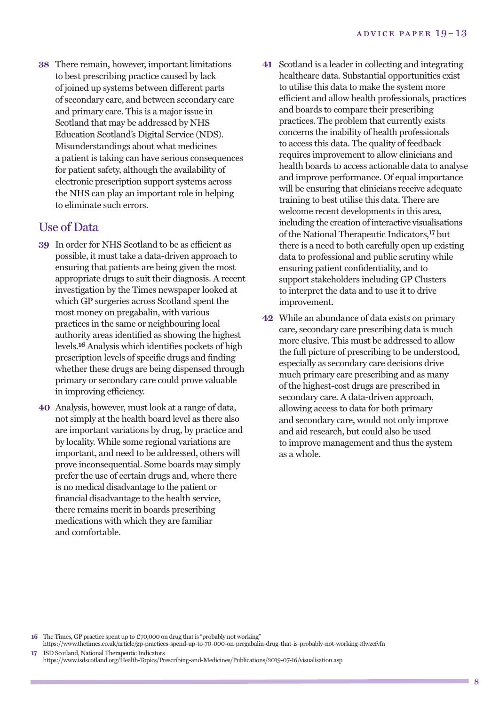**38** There remain, however, important limitations to best prescribing practice caused by lack of joined up systems between different parts of secondary care, and between secondary care and primary care. This is a major issue in Scotland that may be addressed by NHS Education Scotland's Digital Service (NDS). Misunderstandings about what medicines a patient is taking can have serious consequences for patient safety, although the availability of electronic prescription support systems across the NHS can play an important role in helping to eliminate such errors.

#### Use of Data

- **39** In order for NHS Scotland to be as efficient as possible, it must take a data-driven approach to ensuring that patients are being given the most appropriate drugs to suit their diagnosis. A recent investigation by the Times newspaper looked at which GP surgeries across Scotland spent the most money on pregabalin, with various practices in the same or neighbouring local authority areas identified as showing the highest levels. **16** Analysis which identifies pockets of high prescription levels of specific drugs and finding whether these drugs are being dispensed through primary or secondary care could prove valuable in improving efficiency.
- **40** Analysis, however, must look at a range of data, not simply at the health board level as there also are important variations by drug, by practice and by locality. While some regional variations are important, and need to be addressed, others will prove inconsequential. Some boards may simply prefer the use of certain drugs and, where there is no medical disadvantage to the patient or financial disadvantage to the health service, there remains merit in boards prescribing medications with which they are familiar and comfortable.
- **41** Scotland is a leader in collecting and integrating healthcare data. Substantial opportunities exist to utilise this data to make the system more efficient and allow health professionals, practices and boards to compare their prescribing practices. The problem that currently exists concerns the inability of health professionals to access this data. The quality of feedback requires improvement to allow clinicians and health boards to access actionable data to analyse and improve performance. Of equal importance will be ensuring that clinicians receive adequate training to best utilise this data. There are welcome recent developments in this area, including the creation of interactive visualisations of the National Therapeutic Indicators, **17** but there is a need to both carefully open up existing data to professional and public scrutiny while ensuring patient confidentiality, and to support stakeholders including GP Clusters to interpret the data and to use it to drive improvement.
- **42** While an abundance of data exists on primary care, secondary care prescribing data is much more elusive. This must be addressed to allow the full picture of prescribing to be understood, especially as secondary care decisions drive much primary care prescribing and as many of the highest-cost drugs are prescribed in secondary care. A data-driven approach, allowing access to data for both primary and secondary care, would not only improve and aid research, but could also be used to improve management and thus the system as a whole.

**16** The Times, GP practice spent up to £70,000 on drug that is "probably not working"

https://www.thetimes.co.uk/article/gp-practices-spend-up-to-70-000-on-pregabalin-drug-that-is-probably-not-working-3lwzcfvfn

**17** ISD Scotland, National Therapeutic Indicators https://www.isdscotland.org/Health-Topics/Prescribing-and-Medicines/Publications/2019-07-16/visualisation.asp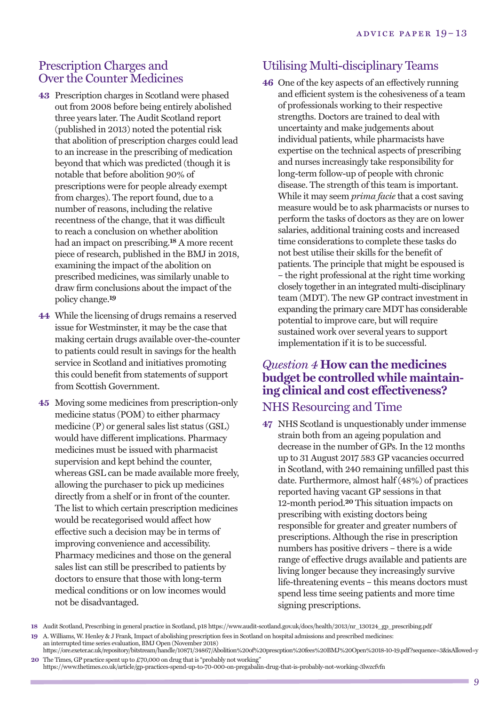#### Prescription Charges and Over the Counter Medicines

- **43** Prescription charges in Scotland were phased out from 2008 before being entirely abolished three years later. The Audit Scotland report (published in 2013) noted the potential risk that abolition of prescription charges could lead to an increase in the prescribing of medication beyond that which was predicted (though it is notable that before abolition 90% of prescriptions were for people already exempt from charges). The report found, due to a number of reasons, including the relative recentness of the change, that it was difficult to reach a conclusion on whether abolition had an impact on prescribing. **18** A more recent piece of research, published in the BMJ in 2018, examining the impact of the abolition on prescribed medicines, was similarly unable to draw firm conclusions about the impact of the policy change. **19**
- **44** While the licensing of drugs remains a reserved issue for Westminster, it may be the case that making certain drugs available over-the-counter to patients could result in savings for the health service in Scotland and initiatives promoting this could benefit from statements of support from Scottish Government.
- **45** Moving some medicines from prescription-only medicine status (POM) to either pharmacy medicine (P) or general sales list status (GSL) would have different implications. Pharmacy medicines must be issued with pharmacist supervision and kept behind the counter, whereas GSL can be made available more freely, allowing the purchaser to pick up medicines directly from a shelf or in front of the counter. The list to which certain prescription medicines would be recategorised would affect how effective such a decision may be in terms of improving convenience and accessibility. Pharmacy medicines and those on the general sales list can still be prescribed to patients by doctors to ensure that those with long-term medical conditions or on low incomes would not be disadvantaged.

# Utilising Multi-disciplinary Teams

**46** One of the key aspects of an effectively running and efficient system is the cohesiveness of a team of professionals working to their respective strengths. Doctors are trained to deal with uncertainty and make judgements about individual patients, while pharmacists have expertise on the technical aspects of prescribing and nurses increasingly take responsibility for long-term follow-up of people with chronic disease. The strength of this team is important. While it may seem *prima facie* that a cost saving measure would be to ask pharmacists or nurses to perform the tasks of doctors as they are on lower salaries, additional training costs and increased time considerations to complete these tasks do not best utilise their skills for the benefit of patients. The principle that might be espoused is – the right professional at the right time working closely together in an integrated multi-disciplinary team (MDT). The new GP contract investment in expanding the primary care MDT has considerable potential to improve care, but will require sustained work over several years to support implementation if it is to be successful.

#### *Question 4* **How can the medicines budget be controlled while maintaining clinical and cost effectiveness?**

# NHS Resourcing and Time

**47** NHS Scotland is unquestionably under immense strain both from an ageing population and decrease in the number of GPs. In the 12 months up to 31 August 2017 583 GP vacancies occurred in Scotland, with 240 remaining unfilled past this date. Furthermore, almost half (48%) of practices reported having vacant GP sessions in that 12-month period. **20** This situation impacts on prescribing with existing doctors being responsible for greater and greater numbers of prescriptions. Although the rise in prescription numbers has positive drivers – there is a wide range of effective drugs available and patients are living longer because they increasingly survive life-threatening events – this means doctors must spend less time seeing patients and more time signing prescriptions.

**<sup>18</sup>** Audit Scotland, Prescribing in general practice in Scotland, p18 https://www.audit-scotland.gov.uk/docs/health/2013/nr\_130124\_gp\_prescribing.pdf

**<sup>19</sup>** A. Williams, W. Henley & J Frank, Impact of abolishing prescription fees in Scotland on hospital admissions and prescribed medicines: an interrupted time series evaluation, BMJ Open (November 2018)

https://ore.exeter.ac.uk/repository/bitstream/handle/10871/34867/Abolition%20of%20prescption%20fees%20BMJ%20Open%2018-10-19.pdf?sequence=3&isAllowed=y **20** The Times, GP practice spent up to £70,000 on drug that is "probably not working"

https://www.thetimes.co.uk/article/gp-practices-spend-up-to-70-000-on-pregabalin-drug-that-is-probably-not-working-3lwzcfvfn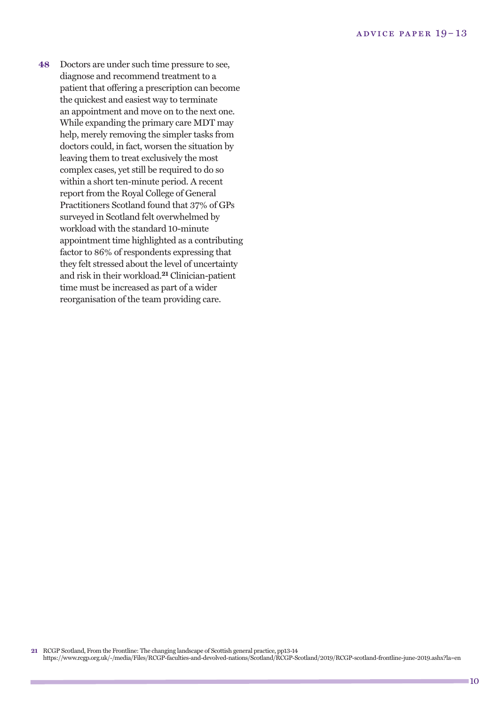**48** Doctors are under such time pressure to see, diagnose and recommend treatment to a patient that offering a prescription can become the quickest and easiest way to terminate an appointment and move on to the next one. While expanding the primary care MDT may help, merely removing the simpler tasks from doctors could, in fact, worsen the situation by leaving them to treat exclusively the most complex cases, yet still be required to do so within a short ten-minute period. A recent report from the Royal College of General Practitioners Scotland found that 37% of GPs surveyed in Scotland felt overwhelmed by workload with the standard 10-minute appointment time highlighted as a contributing factor to 86% of respondents expressing that they felt stressed about the level of uncertainty and risk in their workload. **21** Clinician-patient time must be increased as part of a wider reorganisation of the team providing care.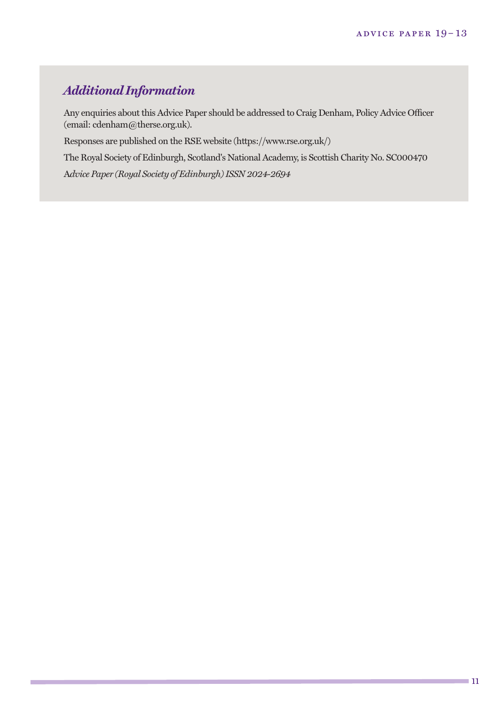# *Additional Information*

Any enquiries about this Advice Paper should be addressed to Craig Denham, Policy Advice Officer (email: cdenham@therse.org.uk).

Responses are published on the RSE website (https://www.rse.org.uk/)

The Royal Society of Edinburgh, Scotland's National Academy, is Scottish Charity No. SC000470

A*dvice Paper (Royal Society of Edinburgh)ISSN 2024-2694*